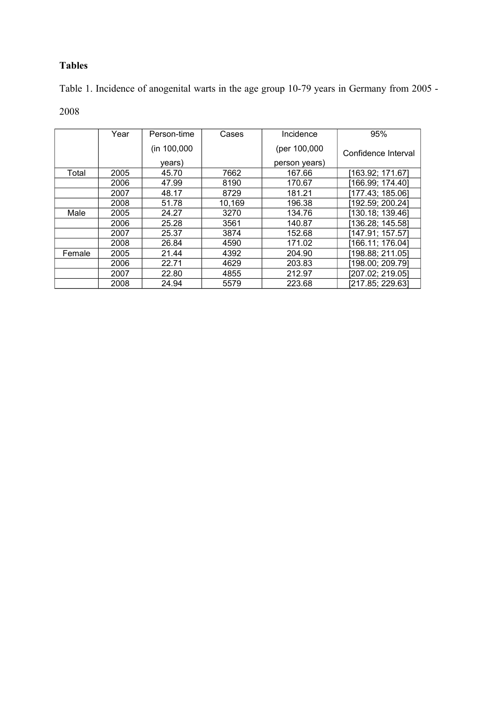## **Tables**

Table 1. Incidence of anogenital warts in the age group 10-79 years in Germany from 2005 -

2008

|        | Year | Person-time | Cases  | Incidence     | 95%                 |  |
|--------|------|-------------|--------|---------------|---------------------|--|
|        |      | (in 100,000 |        | (per 100,000  | Confidence Interval |  |
|        |      | years)      |        | person years) |                     |  |
| Total  | 2005 | 45.70       | 7662   | 167.66        | [163.92; 171.67]    |  |
|        | 2006 | 47.99       | 8190   | 170.67        | [166.99; 174.40]    |  |
|        | 2007 | 48.17       | 8729   | 181.21        | [177.43; 185.06]    |  |
|        | 2008 | 51.78       | 10,169 | 196.38        | [192.59; 200.24]    |  |
| Male   | 2005 | 24.27       | 3270   | 134.76        | [130.18; 139.46]    |  |
|        | 2006 | 25.28       | 3561   | 140.87        | [136.28; 145.58]    |  |
|        | 2007 | 25.37       | 3874   | 152.68        | [147.91; 157.57]    |  |
|        | 2008 | 26.84       | 4590   | 171.02        | [166.11; 176.04]    |  |
| Female | 2005 | 21.44       | 4392   | 204.90        | [198.88; 211.05]    |  |
|        | 2006 | 22.71       | 4629   | 203.83        | [198.00; 209.79]    |  |
|        | 2007 | 22.80       | 4855   | 212.97        | [207.02; 219.05]    |  |
|        | 2008 | 24.94       | 5579   | 223.68        | [217.85; 229.63]    |  |